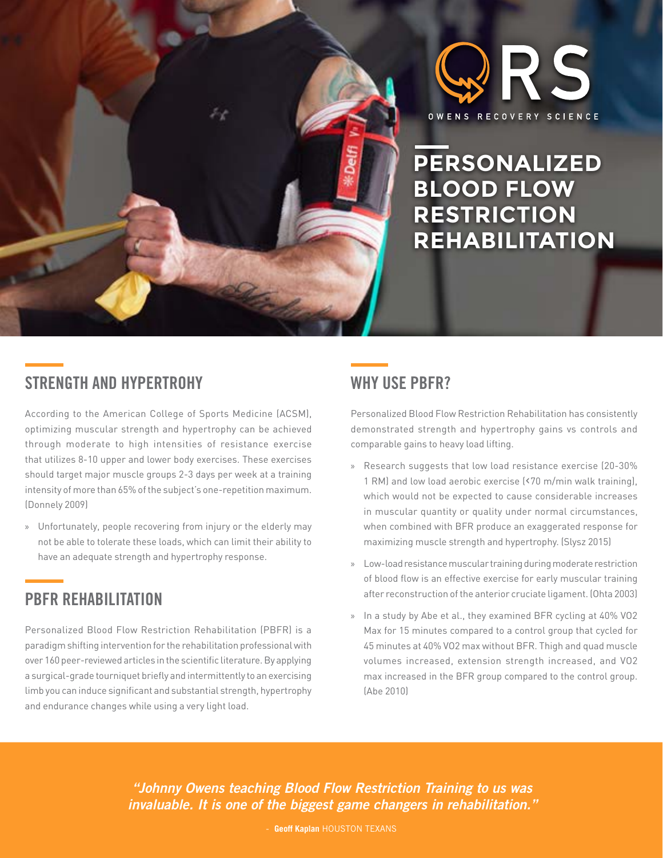

**PERSONALIZED BLOOD FLOW RESTRICTION REHABILITATION**

# **STRENGTH AND HYPERTROHY**

According to the American College of Sports Medicine (ACSM), optimizing muscular strength and hypertrophy can be achieved through moderate to high intensities of resistance exercise that utilizes 8-10 upper and lower body exercises. These exercises should target major muscle groups 2-3 days per week at a training intensity of more than 65% of the subject's one-repetition maximum. (Donnely 2009)

» Unfortunately, people recovering from injury or the elderly may not be able to tolerate these loads, which can limit their ability to have an adequate strength and hypertrophy response.

## **PBFR REHABILITATION**

Personalized Blood Flow Restriction Rehabilitation (PBFR) is a paradigm shifting intervention for the rehabilitation professional with over 160 peer-reviewed articles in the scientific literature. By applying a surgical-grade tourniquet briefly and intermittently to an exercising limb you can induce significant and substantial strength, hypertrophy and endurance changes while using a very light load.

### **WHY USE PBFR?**

Personalized Blood Flow Restriction Rehabilitation has consistently demonstrated strength and hypertrophy gains vs controls and comparable gains to heavy load lifting.

- » Research suggests that low load resistance exercise (20-30% 1 RM) and low load aerobic exercise (‹70 m/min walk training), which would not be expected to cause considerable increases in muscular quantity or quality under normal circumstances, when combined with BFR produce an exaggerated response for maximizing muscle strength and hypertrophy. (Slysz 2015)
- » Low-load resistance muscular training during moderate restriction of blood flow is an effective exercise for early muscular training after reconstruction of the anterior cruciate ligament. (Ohta 2003)
- » In a study by Abe et al., they examined BFR cycling at 40% VO2 Max for 15 minutes compared to a control group that cycled for 45 minutes at 40% VO2 max without BFR. Thigh and quad muscle volumes increased, extension strength increased, and VO2 max increased in the BFR group compared to the control group. (Abe 2010)

*"Johnny Owens teaching Blood Flow Restriction Training to us was invaluable. It is one of the biggest game changers in rehabilitation."*

**Geoff Kaplan HOUSTON TEXANS**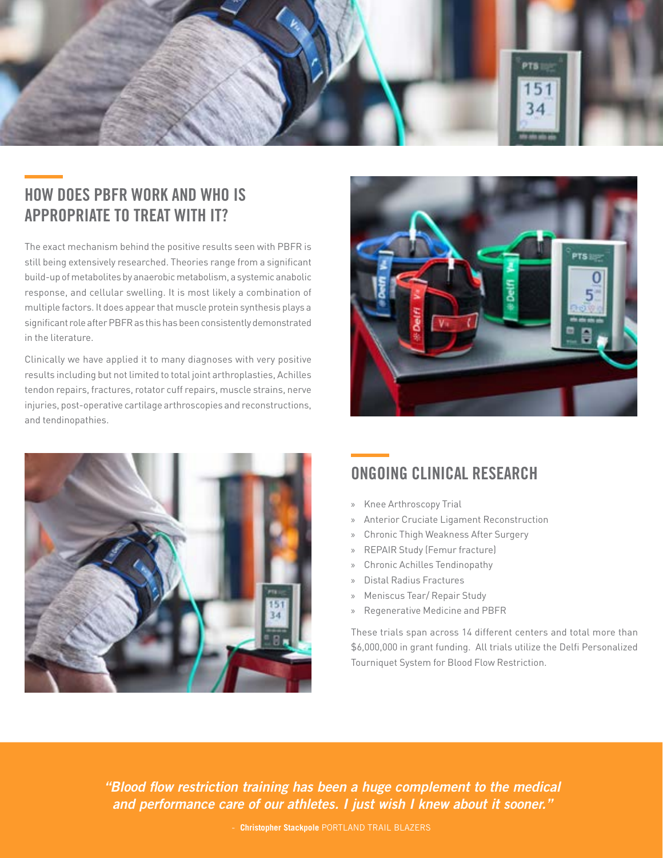

## **HOW DOES PBFR WORK AND WHO IS APPROPRIATE TO TREAT WITH IT?**

The exact mechanism behind the positive results seen with PBFR is still being extensively researched. Theories range from a significant build-up of metabolites by anaerobic metabolism, a systemic anabolic response, and cellular swelling. It is most likely a combination of multiple factors. It does appear that muscle protein synthesis plays a significant role after PBFR as this has been consistently demonstrated in the literature.

Clinically we have applied it to many diagnoses with very positive results including but not limited to total joint arthroplasties, Achilles tendon repairs, fractures, rotator cuff repairs, muscle strains, nerve injuries, post-operative cartilage arthroscopies and reconstructions, and tendinopathies.





# **ONGOING CLINICAL RESEARCH**

- » Knee Arthroscopy Trial
- » Anterior Cruciate Ligament Reconstruction
- » Chronic Thigh Weakness After Surgery
- » REPAIR Study (Femur fracture)
- » Chronic Achilles Tendinopathy
- » Distal Radius Fractures
- » Meniscus Tear/ Repair Study
- » Regenerative Medicine and PBFR

These trials span across 14 different centers and total more than \$6,000,000 in grant funding. All trials utilize the Delfi Personalized Tourniquet System for Blood Flow Restriction.

*"Blood flow restriction training has been a huge complement to the medical and performance care of our athletes. I just wish I knew about it sooner."*